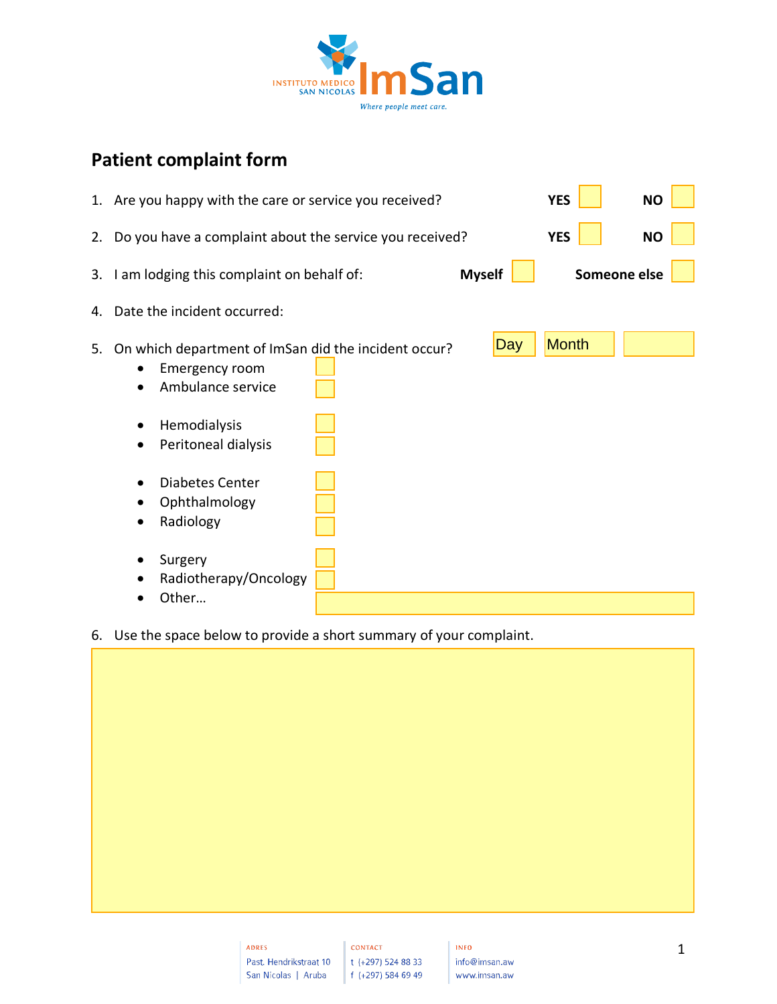

## **Patient complaint form**

|    | 1. Are you happy with the care or service you received?                                                                                                                               | <b>YES</b> | <b>NO</b>    |
|----|---------------------------------------------------------------------------------------------------------------------------------------------------------------------------------------|------------|--------------|
| 2. | Do you have a complaint about the service you received?                                                                                                                               | <b>YES</b> | <b>NO</b>    |
| 3. | <b>Myself</b><br>I am lodging this complaint on behalf of:                                                                                                                            |            | Someone else |
| 4. | Date the incident occurred:                                                                                                                                                           |            |              |
| 5. | Day<br>On which department of ImSan did the incident occur?<br>Emergency room<br>$\bullet$<br>Ambulance service<br>$\bullet$<br>Hemodialysis<br>$\bullet$<br>Peritoneal dialysis<br>٠ | Month      |              |
|    | <b>Diabetes Center</b><br>$\bullet$<br>Ophthalmology<br>$\bullet$<br>Radiology<br>$\bullet$                                                                                           |            |              |
|    | Surgery<br>Radiotherapy/Oncology<br>Other                                                                                                                                             |            |              |

## 6. Use the space below to provide a short summary of your complaint.



| <b>ADRES</b>           | <b>CONTACT</b>       | П  |
|------------------------|----------------------|----|
| Past. Hendrikstraat 10 | t (+297) 524 88 33   | 'n |
| San Nicolas   Aruba    | $f$ (+297) 584 69 49 | v  |